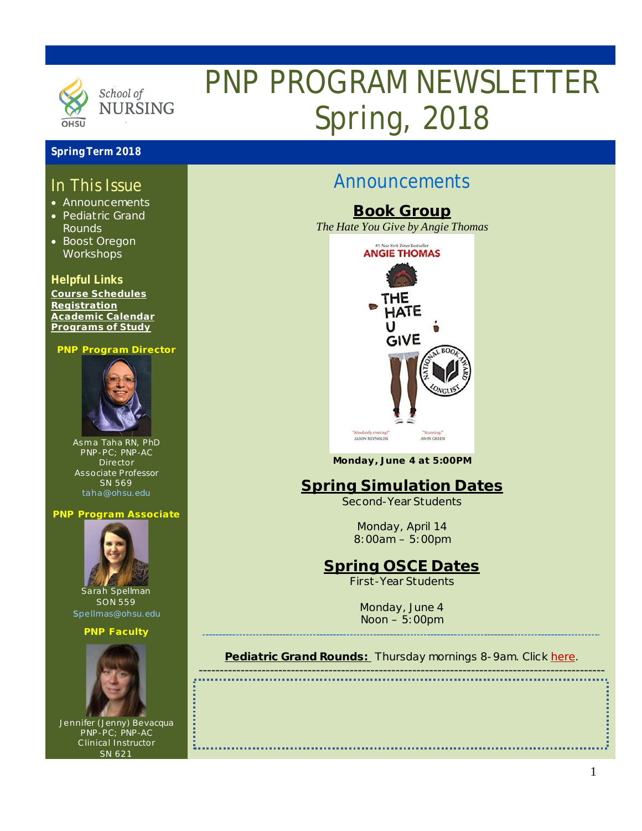

# PNP PROGRAM NEWSLETTER Spring, 2018

### **Spring Term 2018**

### In This Issue

- Announcements
- Pediatric Grand Rounds
- Boost Oregon **Workshops**

### **Helpful Links**

**[Course Schedules](http://www.ohsu.edu/xd/education/schools/school-of-nursing/students/academic-affairs/course-schedule.cfm) [Registration](http://www.ohsu.edu/xd/education/schools/school-of-nursing/students/registration_records.cfm) [Academic Calendar](http://www.ohsu.edu/xd/education/student-services/registrar/registrar-forms/index.cfm) [Programs of Study](http://www.ohsu.edu/xd/education/schools/school-of-nursing/programs/programs-of-study-page.cfm?WT_rank=1)**

#### **PNP Program Director**



Asma Taha RN, PhD PNP-PC; PNP-AC Director Associate Professor SN 569 [taha@ohsu.edu](mailto:taha@ohsu.edu)

#### **PNP Program Associate**



Sarah Spellman SON 559 [spellmas@ohsu.edu](mailto:spellmas@ohsu.edu)

#### **PNP Faculty**



Jennifer (Jenny) Bevacqua PNP-PC; PNP-AC Clinical Instructor SN 621

# Announcements

**Book Group** *The Hate You Give by Angie Thomas*



**Monday, June 4 at 5:00PM**

# **Spring Simulation Dates**

*Second-Year Students*

Monday, April 14 8:00am – 5:00pm

# **Spring OSCE Dates**

*First-Year Students*

Monday, June 4 Noon – 5:00pm

#### **Pediatric Grand Rounds:** Thursday mornings 8-9am. Click [here.](http://www.ohsu.edu/xd/health/services/doernbecher/healthcare-professionals/continuing-education/grand-rounds-schedule/calendar.cfm) -------------------------------------------------------------------------------------------------

1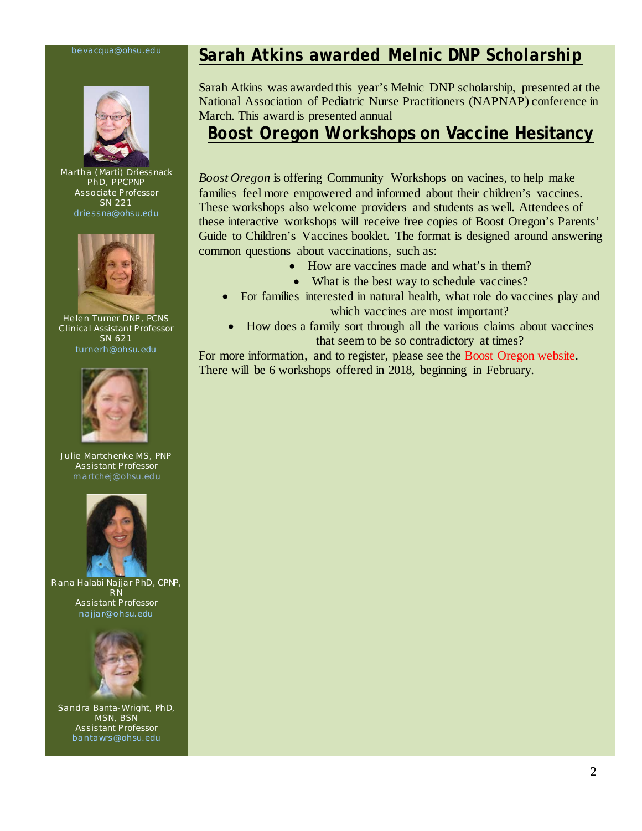#### [bevacqua@ohsu.edu](mailto:bevacqua@ohsu.edu)



Martha (Marti) Driessnack PhD, PPCPNP Associate Professor SN 221 [driessna@ohsu.edu](mailto:driessna@ohsu.edu)



Helen Turner DNP , PCNS Clinical Assistant Professor SN 621 [turnerh@ohsu.edu](mailto:turnerh@ohsu.edu)



Julie Martchenke MS, PNP Assistant Professor m artchej@ohsu.edu



Rana Halabi Na jjar PhD, CPNP, RN Assistant Professor na jjar@ohsu.edu



Sandra Banta-Wright, PhD, MSN, BSN Assistant Professor bantawrs@ohsu.edu

# *Sarah Atkins awarded Melnic DNP Scholarship*

Sarah Atkins was awarded this year's Melnic DNP scholarship, presented at the National Association of Pediatric Nurse Practitioners (NAPNAP) conference in March. This award is presented annual

### *Boost Oregon* **Workshops on Vaccine Hesitancy**

*Boost Oregon* is offering Community Workshops on vacines, to help make families feel more empowered and informed about their children's vaccines. These workshops also welcome providers and students as well. Attendees of these interactive workshops will receive free copies of Boost Oregon's Parents' Guide to Children's Vaccines booklet. The format is designed around answering common questions about vaccinations, such as:

- How are vaccines made and what's in them?
- What is the best way to schedule vaccines?
- For families interested in natural health, what role do vaccines play and which vaccines are most important?
- How does a family sort through all the various claims about vaccines that seem to be so contradictory at times?

For more information, and to register, please see the [Boost Oregon website.](http://www.boostoregon.org/community-workshops/) There will be 6 workshops offered in 2018, beginning in February.